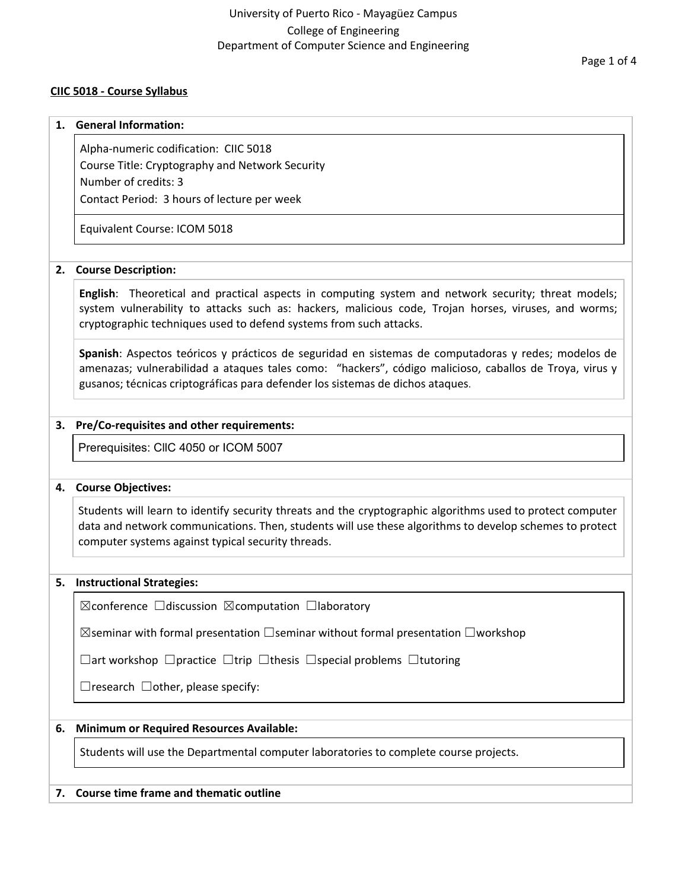#### **CIIC 5018 - Course Syllabus**

#### **1. General Information:**

Alpha-numeric codification: CIIC 5018 Course Title: Cryptography and Network Security Number of credits: 3 Contact Period: 3 hours of lecture per week

Equivalent Course: ICOM 5018

#### **2. Course Description:**

**English**: Theoretical and practical aspects in computing system and network security; threat models; system vulnerability to attacks such as: hackers, malicious code, Trojan horses, viruses, and worms; cryptographic techniques used to defend systems from such attacks.

**Spanish**: Aspectos teóricos y prácticos de seguridad en sistemas de computadoras y redes; modelos de amenazas; vulnerabilidad a ataques tales como: "hackers", código malicioso, caballos de Troya, virus y gusanos; técnicas criptográficas para defender los sistemas de dichos ataques.

### **3. Pre/Co-requisites and other requirements:**

Prerequisites: CllC 4050 or ICOM 5007

#### **4. Course Objectives:**

Students will learn to identify security threats and the cryptographic algorithms used to protect computer data and network communications. Then, students will use these algorithms to develop schemes to protect computer systems against typical security threads.

#### **5. Instructional Strategies:**

☒conference ☐discussion ☒computation ☐laboratory

 $\boxtimes$ seminar with formal presentation  $\Box$ seminar without formal presentation  $\Box$ workshop

☐art workshop ☐practice ☐trip ☐thesis ☐special problems ☐tutoring

 $\Box$ research  $\Box$ other, please specify:

#### **6. Minimum or Required Resources Available:**

Students will use the Departmental computer laboratories to complete course projects.

#### **7. Course time frame and thematic outline**

Page 1 of 4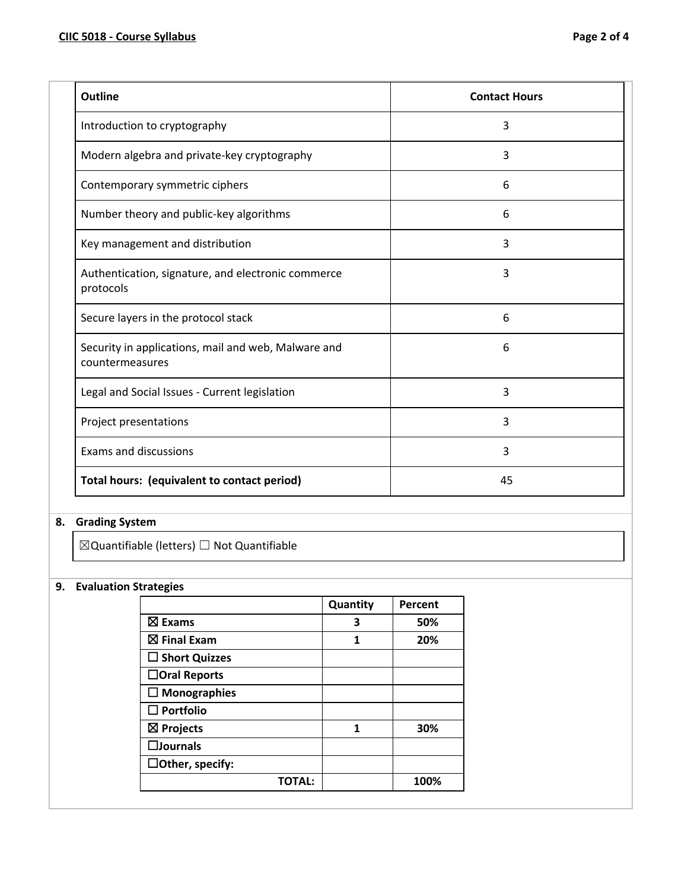| Outline                                                                | <b>Contact Hours</b> |
|------------------------------------------------------------------------|----------------------|
| Introduction to cryptography                                           | 3                    |
| Modern algebra and private-key cryptography                            | 3                    |
| Contemporary symmetric ciphers                                         | 6                    |
| Number theory and public-key algorithms                                | 6                    |
| Key management and distribution                                        | 3                    |
| Authentication, signature, and electronic commerce<br>protocols        | 3                    |
| Secure layers in the protocol stack                                    | 6                    |
| Security in applications, mail and web, Malware and<br>countermeasures | 6                    |
| Legal and Social Issues - Current legislation                          | 3                    |
| Project presentations                                                  | 3                    |
| <b>Exams and discussions</b>                                           | 3                    |
| Total hours: (equivalent to contact period)                            | 45                   |

# **8. Grading System**

 $\boxtimes$ Quantifiable (letters)  $\Box$  Not Quantifiable

## **9. Evaluation Strategies**

|                         | Quantity | Percent |
|-------------------------|----------|---------|
| $\boxtimes$ Exams       | 3        | 50%     |
| $\boxtimes$ Final Exam  | 1        | 20%     |
| $\square$ Short Quizzes |          |         |
| $\Box$ Oral Reports     |          |         |
| $\Box$ Monographies     |          |         |
| $\square$ Portfolio     |          |         |
| $\boxtimes$ Projects    | 1        | 30%     |
| $\square$ Journals      |          |         |
| $\Box$ Other, specify:  |          |         |
| <b>TOTAL:</b>           |          | 100%    |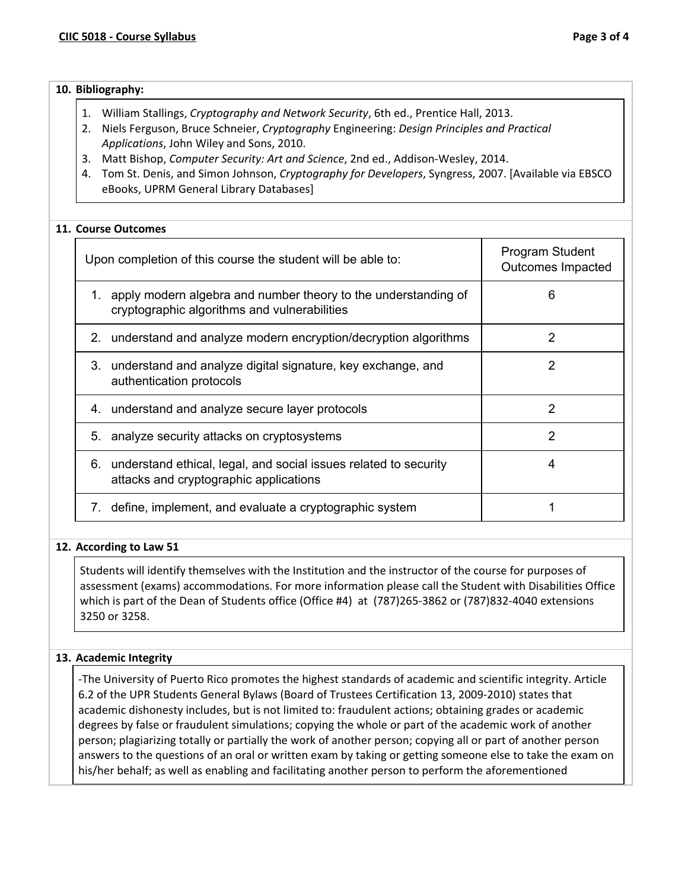| 10. Bibliography: |
|-------------------|
|                   |

- 1. William Stallings, *Cryptography and Network Security*, 6th ed., Prentice Hall, 2013.
- 2. Niels Ferguson, Bruce Schneier, *Cryptography* Engineering: *Design Principles and Practical Applications*, John Wiley and Sons, 2010.
- 3. Matt Bishop, *Computer Security: Art and Science*, 2nd ed., Addison-Wesley, 2014.
- 4. Tom St. Denis, and Simon Johnson, *Cryptography for Developers*, Syngress, 2007. [Available via EBSCO eBooks, UPRM General Library Databases]

### **11. Course Outcomes**

| Upon completion of this course the student will be able to:                                                       | Program Student<br>Outcomes Impacted |
|-------------------------------------------------------------------------------------------------------------------|--------------------------------------|
| 1. apply modern algebra and number theory to the understanding of<br>cryptographic algorithms and vulnerabilities | 6                                    |
| 2. understand and analyze modern encryption/decryption algorithms                                                 | 2                                    |
| 3. understand and analyze digital signature, key exchange, and<br>authentication protocols                        | 2                                    |
| 4. understand and analyze secure layer protocols                                                                  | 2                                    |
| 5. analyze security attacks on cryptosystems                                                                      | 2                                    |
| 6. understand ethical, legal, and social issues related to security<br>attacks and cryptographic applications     | 4                                    |
| define, implement, and evaluate a cryptographic system<br>7.                                                      |                                      |

#### **12. According to Law 51**

Students will identify themselves with the Institution and the instructor of the course for purposes of assessment (exams) accommodations. For more information please call the Student with Disabilities Office which is part of the Dean of Students office (Office #4) at (787)265-3862 or (787)832-4040 extensions 3250 or 3258.

#### **13. Academic Integrity**

-The University of Puerto Rico promotes the highest standards of academic and scientific integrity. Article 6.2 of the UPR Students General Bylaws (Board of Trustees Certification 13, 2009-2010) states that academic dishonesty includes, but is not limited to: fraudulent actions; obtaining grades or academic degrees by false or fraudulent simulations; copying the whole or part of the academic work of another person; plagiarizing totally or partially the work of another person; copying all or part of another person answers to the questions of an oral or written exam by taking or getting someone else to take the exam on his/her behalf; as well as enabling and facilitating another person to perform the aforementioned